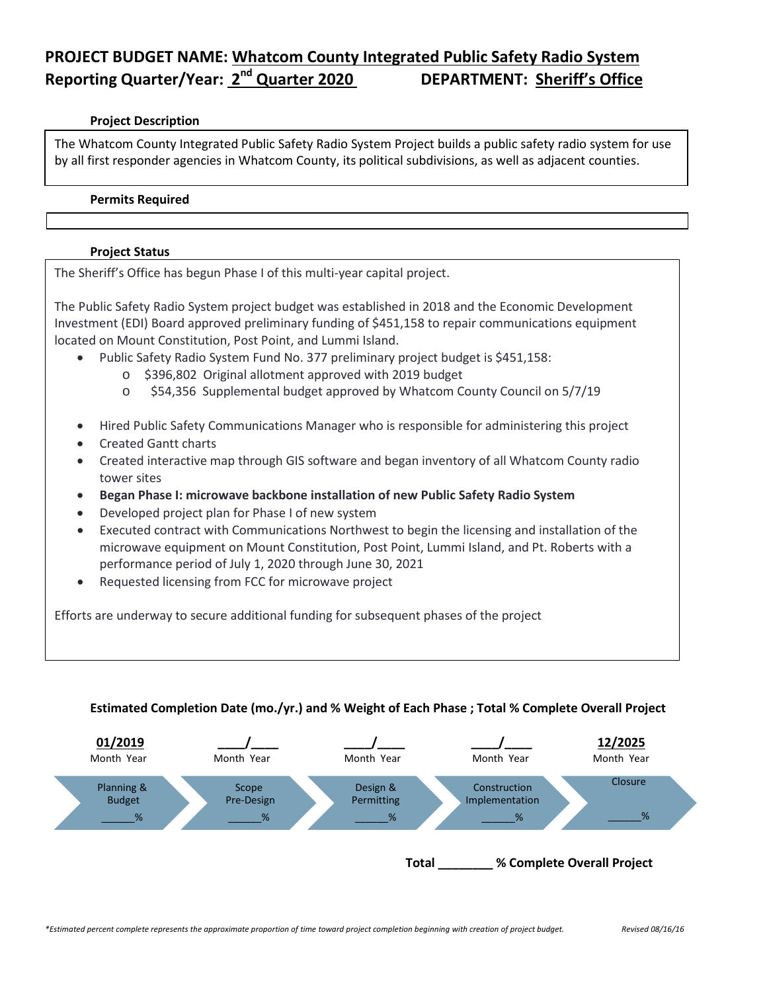# **PROJECT BUDGET NAME: Whatcom County Integrated Public Safety Radio System Reporting Quarter/Year: 2nd Quarter 2020 DEPARTMENT: Sheriff's Office**

#### **Project Description**

The Whatcom County Integrated Public Safety Radio System Project builds a public safety radio system for use by all first responder agencies in Whatcom County, its political subdivisions, as well as adjacent counties.

#### **Permits Required**

### **Project Status**

The Sheriff's Office has begun Phase I of this multi-year capital project.

The Public Safety Radio System project budget was established in 2018 and the Economic Development Investment (EDI) Board approved preliminary funding of \$451,158 to repair communications equipment located on Mount Constitution, Post Point, and Lummi Island.

- Public Safety Radio System Fund No. 377 preliminary project budget is \$451,158:
	- o \$396,802 Original allotment approved with 2019 budget
	- o \$54,356 Supplemental budget approved by Whatcom County Council on 5/7/19
- Hired Public Safety Communications Manager who is responsible for administering this project
- Created Gantt charts
- Created interactive map through GIS software and began inventory of all Whatcom County radio tower sites
- **Began Phase I: microwave backbone installation of new Public Safety Radio System**
- Developed project plan for Phase I of new system
- Executed contract with Communications Northwest to begin the licensing and installation of the microwave equipment on Mount Constitution, Post Point, Lummi Island, and Pt. Roberts with a performance period of July 1, 2020 through June 30, 2021
- Requested licensing from FCC for microwave project

Efforts are underway to secure additional funding for subsequent phases of the project

### **Estimated Completion Date (mo./yr.) and % Weight of Each Phase ; Total % Complete Overall Project**